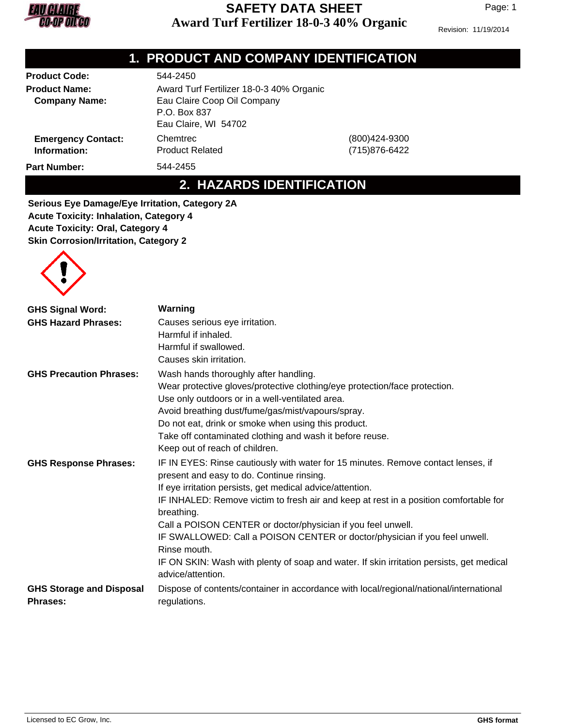

Page: 1

Revision: 11/19/2014

## **1. PRODUCT AND COMPANY IDENTIFICATION**

| <b>Product Code:</b>      | 544-2450                                 |                   |
|---------------------------|------------------------------------------|-------------------|
| <b>Product Name:</b>      | Award Turf Fertilizer 18-0-3 40% Organic |                   |
| <b>Company Name:</b>      | Eau Claire Coop Oil Company              |                   |
|                           | P.O. Box 837                             |                   |
|                           | Eau Claire, WI 54702                     |                   |
| <b>Emergency Contact:</b> | Chemtrec                                 | $(800)424 - 9300$ |
| Information:              | <b>Product Related</b>                   | (715) 876-6422    |
| <b>Part Number:</b>       | 544-2455                                 |                   |

**2. HAZARDS IDENTIFICATION**

**Serious Eye Damage/Eye Irritation, Category 2A Acute Toxicity: Inhalation, Category 4 Acute Toxicity: Oral, Category 4 Skin Corrosion/Irritation, Category 2**



| <b>GHS Signal Word:</b>                            | Warning                                                                                                       |
|----------------------------------------------------|---------------------------------------------------------------------------------------------------------------|
| <b>GHS Hazard Phrases:</b>                         | Causes serious eye irritation.                                                                                |
|                                                    | Harmful if inhaled.                                                                                           |
|                                                    | Harmful if swallowed.                                                                                         |
|                                                    | Causes skin irritation.                                                                                       |
| <b>GHS Precaution Phrases:</b>                     | Wash hands thoroughly after handling.                                                                         |
|                                                    | Wear protective gloves/protective clothing/eye protection/face protection.                                    |
|                                                    | Use only outdoors or in a well-ventilated area.                                                               |
|                                                    | Avoid breathing dust/fume/gas/mist/vapours/spray.                                                             |
|                                                    | Do not eat, drink or smoke when using this product.                                                           |
|                                                    | Take off contaminated clothing and wash it before reuse.                                                      |
|                                                    | Keep out of reach of children.                                                                                |
| <b>GHS Response Phrases:</b>                       | IF IN EYES: Rinse cautiously with water for 15 minutes. Remove contact lenses, if                             |
|                                                    | present and easy to do. Continue rinsing.                                                                     |
|                                                    | If eye irritation persists, get medical advice/attention.                                                     |
|                                                    | IF INHALED: Remove victim to fresh air and keep at rest in a position comfortable for<br>breathing.           |
|                                                    | Call a POISON CENTER or doctor/physician if you feel unwell.                                                  |
|                                                    | IF SWALLOWED: Call a POISON CENTER or doctor/physician if you feel unwell.                                    |
|                                                    | Rinse mouth.                                                                                                  |
|                                                    | IF ON SKIN: Wash with plenty of soap and water. If skin irritation persists, get medical<br>advice/attention. |
| <b>GHS Storage and Disposal</b><br><b>Phrases:</b> | Dispose of contents/container in accordance with local/regional/national/international<br>regulations.        |
|                                                    |                                                                                                               |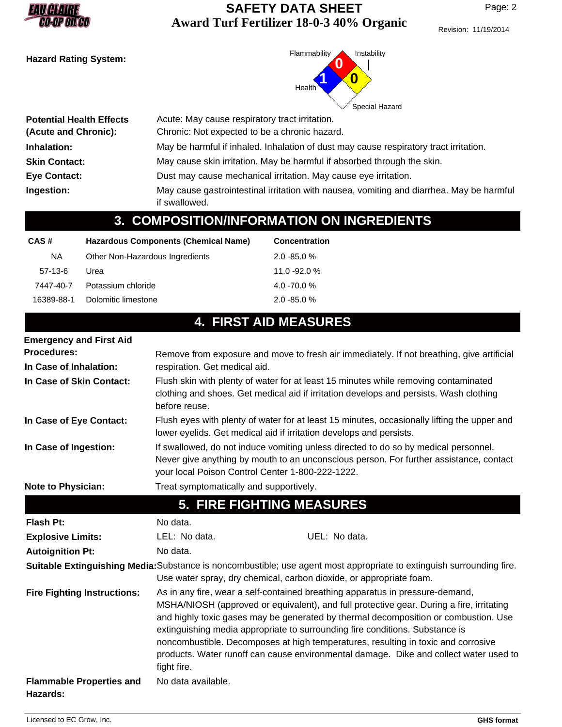

Revision: 11/19/2014



| <b>Potential Health Effects</b><br>(Acute and Chronic): | Acute: May cause respiratory tract irritation.<br>Chronic: Not expected to be a chronic hazard.           |
|---------------------------------------------------------|-----------------------------------------------------------------------------------------------------------|
|                                                         |                                                                                                           |
| Inhalation:                                             | May be harmful if inhaled. Inhalation of dust may cause respiratory tract irritation.                     |
| <b>Skin Contact:</b>                                    | May cause skin irritation. May be harmful if absorbed through the skin.                                   |
| <b>Eye Contact:</b>                                     | Dust may cause mechanical irritation. May cause eye irritation.                                           |
| Ingestion:                                              | May cause gastrointestinal irritation with nausea, vomiting and diarrhea. May be harmful<br>if swallowed. |

# **3. COMPOSITION/INFORMATION ON INGREDIENTS**

| CAS#       | Hazardous Components (Chemical Name) | <b>Concentration</b> |  |
|------------|--------------------------------------|----------------------|--|
| <b>NA</b>  | Other Non-Hazardous Ingredients      | $2.0 - 85.0 %$       |  |
| 57-13-6    | Urea                                 | $11.0 - 92.0 %$      |  |
| 7447-40-7  | Potassium chloride                   | $4.0 - 70.0 %$       |  |
| 16389-88-1 | Dolomitic limestone                  | $2.0 - 85.0 %$       |  |
|            |                                      |                      |  |

# **4. FIRST AID MEASURES**

| <b>Emergency and First Aid</b>              |                                                                                                                                                                                                                                                                                                                                                                                                                                                                                                                                               |  |
|---------------------------------------------|-----------------------------------------------------------------------------------------------------------------------------------------------------------------------------------------------------------------------------------------------------------------------------------------------------------------------------------------------------------------------------------------------------------------------------------------------------------------------------------------------------------------------------------------------|--|
| <b>Procedures:</b>                          | Remove from exposure and move to fresh air immediately. If not breathing, give artificial                                                                                                                                                                                                                                                                                                                                                                                                                                                     |  |
| In Case of Inhalation:                      | respiration. Get medical aid.                                                                                                                                                                                                                                                                                                                                                                                                                                                                                                                 |  |
| In Case of Skin Contact:                    | Flush skin with plenty of water for at least 15 minutes while removing contaminated<br>clothing and shoes. Get medical aid if irritation develops and persists. Wash clothing<br>before reuse.                                                                                                                                                                                                                                                                                                                                                |  |
| In Case of Eye Contact:                     | Flush eyes with plenty of water for at least 15 minutes, occasionally lifting the upper and<br>lower eyelids. Get medical aid if irritation develops and persists.                                                                                                                                                                                                                                                                                                                                                                            |  |
| In Case of Ingestion:                       | If swallowed, do not induce vomiting unless directed to do so by medical personnel.<br>Never give anything by mouth to an unconscious person. For further assistance, contact<br>your local Poison Control Center 1-800-222-1222.                                                                                                                                                                                                                                                                                                             |  |
| Note to Physician:                          | Treat symptomatically and supportively.                                                                                                                                                                                                                                                                                                                                                                                                                                                                                                       |  |
|                                             | <b>5. FIRE FIGHTING MEASURES</b>                                                                                                                                                                                                                                                                                                                                                                                                                                                                                                              |  |
| <b>Flash Pt:</b>                            | No data.                                                                                                                                                                                                                                                                                                                                                                                                                                                                                                                                      |  |
| <b>Explosive Limits:</b>                    | UEL: No data.<br>LEL: No data.                                                                                                                                                                                                                                                                                                                                                                                                                                                                                                                |  |
| <b>Autoignition Pt:</b>                     | No data.                                                                                                                                                                                                                                                                                                                                                                                                                                                                                                                                      |  |
|                                             | Suitable Extinguishing Media: Substance is noncombustible; use agent most appropriate to extinguish surrounding fire.<br>Use water spray, dry chemical, carbon dioxide, or appropriate foam.                                                                                                                                                                                                                                                                                                                                                  |  |
| <b>Fire Fighting Instructions:</b>          | As in any fire, wear a self-contained breathing apparatus in pressure-demand,<br>MSHA/NIOSH (approved or equivalent), and full protective gear. During a fire, irritating<br>and highly toxic gases may be generated by thermal decomposition or combustion. Use<br>extinguishing media appropriate to surrounding fire conditions. Substance is<br>noncombustible. Decomposes at high temperatures, resulting in toxic and corrosive<br>products. Water runoff can cause environmental damage. Dike and collect water used to<br>fight fire. |  |
| <b>Flammable Properties and</b><br>Hazards: | No data available.                                                                                                                                                                                                                                                                                                                                                                                                                                                                                                                            |  |
|                                             |                                                                                                                                                                                                                                                                                                                                                                                                                                                                                                                                               |  |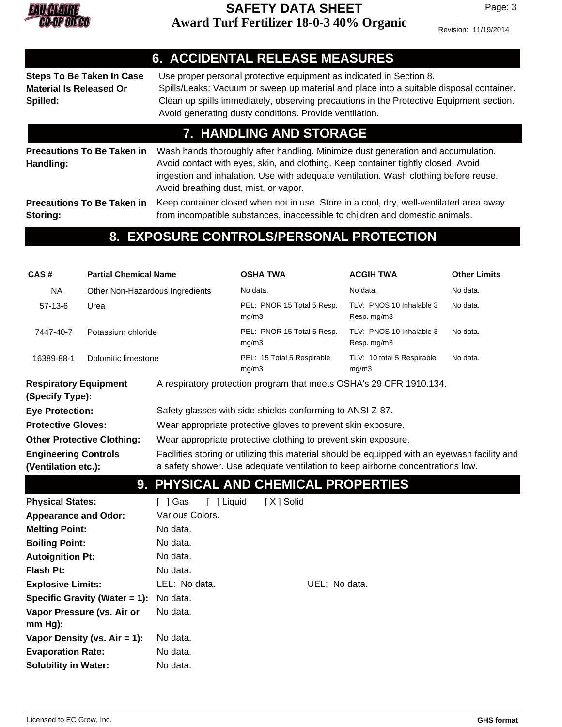

Page: 3

Revision: 11/19/2014

|                                                                                | <b>6. ACCIDENTAL RELEASE MEASURES</b>                                                                                                                                                                                                                                                                                |  |  |
|--------------------------------------------------------------------------------|----------------------------------------------------------------------------------------------------------------------------------------------------------------------------------------------------------------------------------------------------------------------------------------------------------------------|--|--|
| <b>Steps To Be Taken In Case</b><br><b>Material Is Released Or</b><br>Spilled: | Use proper personal protective equipment as indicated in Section 8.<br>Spills/Leaks: Vacuum or sweep up material and place into a suitable disposal container.<br>Clean up spills immediately, observing precautions in the Protective Equipment section.<br>Avoid generating dusty conditions. Provide ventilation. |  |  |
| 7. HANDLING AND STORAGE                                                        |                                                                                                                                                                                                                                                                                                                      |  |  |
| <b>Precautions To Be Taken in</b><br>Handling:                                 | Wash hands thoroughly after handling. Minimize dust generation and accumulation.<br>Avoid contact with eyes, skin, and clothing. Keep container tightly closed. Avoid<br>ingestion and inhalation. Use with adequate ventilation. Wash clothing before reuse.<br>Avoid breathing dust, mist, or vapor.               |  |  |
| <b>Precautions To Be Taken in</b><br>Storing:                                  | Keep container closed when not in use. Store in a cool, dry, well-ventilated area away<br>from incompatible substances, inaccessible to children and domestic animals.                                                                                                                                               |  |  |

## **8. EXPOSURE CONTROLS/PERSONAL PROTECTION**

| CAS#                                            | <b>Partial Chemical Name</b>    |                       | <b>OSHA TWA</b>                                                                               | <b>ACGIH TWA</b>                        | <b>Other Limits</b> |  |  |
|-------------------------------------------------|---------------------------------|-----------------------|-----------------------------------------------------------------------------------------------|-----------------------------------------|---------------------|--|--|
| <b>NA</b>                                       | Other Non-Hazardous Ingredients |                       | No data.                                                                                      | No data.                                | No data.            |  |  |
| $57-13-6$                                       | Urea                            |                       | PEL: PNOR 15 Total 5 Resp.<br>mg/m3                                                           | TLV: PNOS 10 Inhalable 3<br>Resp. mg/m3 | No data.            |  |  |
| 7447-40-7                                       | Potassium chloride              |                       | PEL: PNOR 15 Total 5 Resp.<br>mg/m3                                                           | TLV: PNOS 10 Inhalable 3<br>Resp. mg/m3 | No data.            |  |  |
| 16389-88-1                                      | Dolomitic limestone             |                       | PEL: 15 Total 5 Respirable<br>mg/m3                                                           | TLV: 10 total 5 Respirable<br>mg/m3     | No data.            |  |  |
| <b>Respiratory Equipment</b><br>(Specify Type): |                                 |                       | A respiratory protection program that meets OSHA's 29 CFR 1910.134.                           |                                         |                     |  |  |
| <b>Eye Protection:</b>                          |                                 |                       | Safety glasses with side-shields conforming to ANSI Z-87.                                     |                                         |                     |  |  |
| <b>Protective Gloves:</b>                       |                                 |                       | Wear appropriate protective gloves to prevent skin exposure.                                  |                                         |                     |  |  |
| <b>Other Protective Clothing:</b>               |                                 |                       | Wear appropriate protective clothing to prevent skin exposure.                                |                                         |                     |  |  |
| <b>Engineering Controls</b>                     |                                 |                       | Facilities storing or utilizing this material should be equipped with an eyewash facility and |                                         |                     |  |  |
| (Ventilation etc.):                             |                                 |                       | a safety shower. Use adequate ventilation to keep airborne concentrations low.                |                                         |                     |  |  |
|                                                 |                                 |                       |                                                                                               |                                         |                     |  |  |
|                                                 |                                 |                       | 9. PHYSICAL AND CHEMICAL PROPERTIES                                                           |                                         |                     |  |  |
| <b>Physical States:</b>                         |                                 | [ ] Liquid<br>[ ] Gas | [X] Solid                                                                                     |                                         |                     |  |  |
| <b>Appearance and Odor:</b>                     |                                 | Various Colors.       |                                                                                               |                                         |                     |  |  |
| <b>Melting Point:</b>                           |                                 | No data.              |                                                                                               |                                         |                     |  |  |
| <b>Boiling Point:</b>                           |                                 | No data.              |                                                                                               |                                         |                     |  |  |
| <b>Autoignition Pt:</b>                         |                                 | No data.              |                                                                                               |                                         |                     |  |  |
| <b>Flash Pt:</b>                                |                                 | No data.              |                                                                                               |                                         |                     |  |  |
| <b>Explosive Limits:</b>                        |                                 | LEL: No data.         | UEL: No data.                                                                                 |                                         |                     |  |  |
|                                                 | Specific Gravity (Water = 1):   | No data.              |                                                                                               |                                         |                     |  |  |
| Vapor Pressure (vs. Air or<br>mm Hg):           |                                 | No data.              |                                                                                               |                                         |                     |  |  |
| Vapor Density (vs. $Air = 1$ ):                 |                                 | No data.              |                                                                                               |                                         |                     |  |  |
| <b>Evaporation Rate:</b>                        |                                 | No data.              |                                                                                               |                                         |                     |  |  |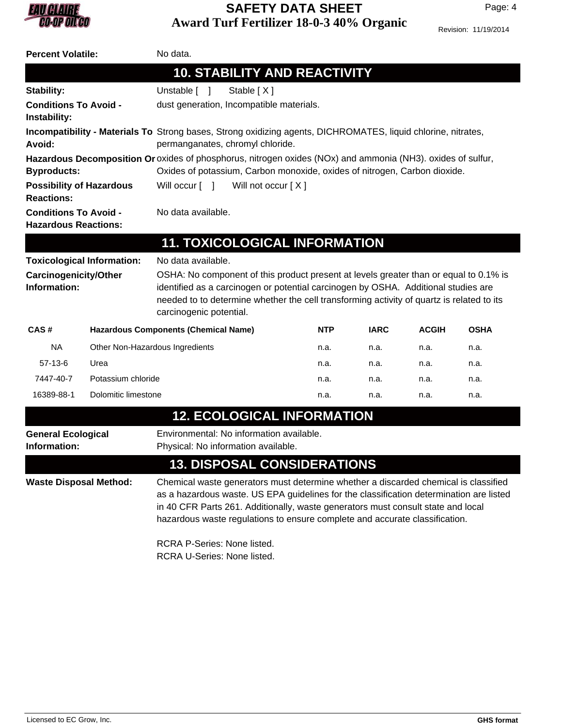

Revision: 11/19/2014

| No data.<br><b>Percent Volatile:</b>                                                                                                                        |                                   |                                                                                                                                                                                                                                                                                                                                                                                                                               |                                                                                                                                                                                          |             |              |             |
|-------------------------------------------------------------------------------------------------------------------------------------------------------------|-----------------------------------|-------------------------------------------------------------------------------------------------------------------------------------------------------------------------------------------------------------------------------------------------------------------------------------------------------------------------------------------------------------------------------------------------------------------------------|------------------------------------------------------------------------------------------------------------------------------------------------------------------------------------------|-------------|--------------|-------------|
|                                                                                                                                                             |                                   | <b>10. STABILITY AND REACTIVITY</b>                                                                                                                                                                                                                                                                                                                                                                                           |                                                                                                                                                                                          |             |              |             |
| <b>Stability:</b>                                                                                                                                           |                                   | Unstable [ ]<br>Stable [X]                                                                                                                                                                                                                                                                                                                                                                                                    |                                                                                                                                                                                          |             |              |             |
| <b>Conditions To Avoid -</b><br>dust generation, Incompatible materials.<br>Instability:                                                                    |                                   |                                                                                                                                                                                                                                                                                                                                                                                                                               |                                                                                                                                                                                          |             |              |             |
| Incompatibility - Materials To Strong bases, Strong oxidizing agents, DICHROMATES, liquid chlorine, nitrates,<br>permanganates, chromyl chloride.<br>Avoid: |                                   |                                                                                                                                                                                                                                                                                                                                                                                                                               |                                                                                                                                                                                          |             |              |             |
| <b>Byproducts:</b>                                                                                                                                          |                                   |                                                                                                                                                                                                                                                                                                                                                                                                                               | Hazardous Decomposition Or oxides of phosphorus, nitrogen oxides (NOx) and ammonia (NH3). oxides of sulfur,<br>Oxides of potassium, Carbon monoxide, oxides of nitrogen, Carbon dioxide. |             |              |             |
| Will not occur [X]<br><b>Possibility of Hazardous</b><br>Will occur $\lceil \quad \rceil$<br><b>Reactions:</b>                                              |                                   |                                                                                                                                                                                                                                                                                                                                                                                                                               |                                                                                                                                                                                          |             |              |             |
| <b>Conditions To Avoid -</b><br><b>Hazardous Reactions:</b>                                                                                                 |                                   | No data available.                                                                                                                                                                                                                                                                                                                                                                                                            |                                                                                                                                                                                          |             |              |             |
|                                                                                                                                                             |                                   | <b>11. TOXICOLOGICAL INFORMATION</b>                                                                                                                                                                                                                                                                                                                                                                                          |                                                                                                                                                                                          |             |              |             |
| <b>Toxicological Information:</b>                                                                                                                           |                                   | No data available.                                                                                                                                                                                                                                                                                                                                                                                                            |                                                                                                                                                                                          |             |              |             |
| <b>Carcinogenicity/Other</b><br>Information:                                                                                                                |                                   | OSHA: No component of this product present at levels greater than or equal to 0.1% is<br>identified as a carcinogen or potential carcinogen by OSHA. Additional studies are<br>needed to to determine whether the cell transforming activity of quartz is related to its<br>carcinogenic potential.                                                                                                                           |                                                                                                                                                                                          |             |              |             |
| CAS#                                                                                                                                                        |                                   | <b>Hazardous Components (Chemical Name)</b>                                                                                                                                                                                                                                                                                                                                                                                   | <b>NTP</b>                                                                                                                                                                               | <b>IARC</b> | <b>ACGIH</b> | <b>OSHA</b> |
| <b>NA</b>                                                                                                                                                   | Other Non-Hazardous Ingredients   |                                                                                                                                                                                                                                                                                                                                                                                                                               | n.a.                                                                                                                                                                                     | n.a.        | n.a.         | n.a.        |
| $57-13-6$                                                                                                                                                   | Urea                              |                                                                                                                                                                                                                                                                                                                                                                                                                               | n.a.                                                                                                                                                                                     | n.a.        | n.a.         | n.a.        |
| 7447-40-7                                                                                                                                                   | Potassium chloride                |                                                                                                                                                                                                                                                                                                                                                                                                                               | n.a.                                                                                                                                                                                     | n.a.        | n.a.         | n.a.        |
| 16389-88-1                                                                                                                                                  | Dolomitic limestone               |                                                                                                                                                                                                                                                                                                                                                                                                                               | n.a.                                                                                                                                                                                     | n.a.        | n.a.         | n.a.        |
|                                                                                                                                                             | <b>12. ECOLOGICAL INFORMATION</b> |                                                                                                                                                                                                                                                                                                                                                                                                                               |                                                                                                                                                                                          |             |              |             |
| <b>General Ecological</b><br>Information:                                                                                                                   |                                   | Environmental: No information available.<br>Physical: No information available.                                                                                                                                                                                                                                                                                                                                               |                                                                                                                                                                                          |             |              |             |
| <b>13. DISPOSAL CONSIDERATIONS</b>                                                                                                                          |                                   |                                                                                                                                                                                                                                                                                                                                                                                                                               |                                                                                                                                                                                          |             |              |             |
| <b>Waste Disposal Method:</b>                                                                                                                               |                                   | Chemical waste generators must determine whether a discarded chemical is classified<br>as a hazardous waste. US EPA guidelines for the classification determination are listed<br>in 40 CFR Parts 261. Additionally, waste generators must consult state and local<br>hazardous waste regulations to ensure complete and accurate classification.<br><b>RCRA P-Series: None listed.</b><br><b>RCRA U-Series: None listed.</b> |                                                                                                                                                                                          |             |              |             |